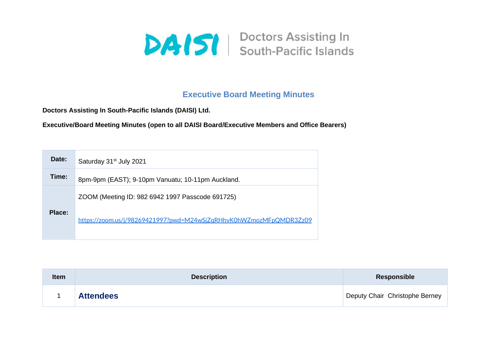

## **Executive Board Meeting Minutes**

**Doctors Assisting In South-Pacific Islands (DAISI) Ltd.**

**Executive/Board Meeting Minutes (open to all DAISI Board/Executive Members and Office Bearers)**

| Date:         | Saturday 31 <sup>st</sup> July 2021                                |
|---------------|--------------------------------------------------------------------|
| Time:         | 8pm-9pm (EAST); 9-10pm Vanuatu; 10-11pm Auckland.                  |
|               | ZOOM (Meeting ID: 982 6942 1997 Passcode 691725)                   |
| <b>Place:</b> | https://zoom.us/j/98269421997?pwd=M24wSjZqRHhvK0hWZmozMFpQMDR3Zz09 |

| <b>Item</b> | <b>Description</b> | <b>Responsible</b>             |
|-------------|--------------------|--------------------------------|
|             | <b>Attendees</b>   | Deputy Chair Christophe Berney |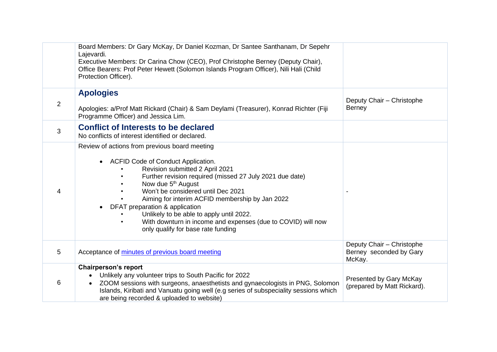|   | Board Members: Dr Gary McKay, Dr Daniel Kozman, Dr Santee Santhanam, Dr Sepehr<br>Lajevardi.<br>Executive Members: Dr Carina Chow (CEO), Prof Christophe Berney (Deputy Chair),<br>Office Bearers: Prof Peter Hewett (Solomon Islands Program Officer), Nili Hali (Child<br>Protection Officer).                                                                                                                                                                                                               |                                                                |
|---|----------------------------------------------------------------------------------------------------------------------------------------------------------------------------------------------------------------------------------------------------------------------------------------------------------------------------------------------------------------------------------------------------------------------------------------------------------------------------------------------------------------|----------------------------------------------------------------|
| 2 | <b>Apologies</b><br>Apologies: a/Prof Matt Rickard (Chair) & Sam Deylami (Treasurer), Konrad Richter (Fiji<br>Programme Officer) and Jessica Lim.                                                                                                                                                                                                                                                                                                                                                              | Deputy Chair - Christophe<br>Berney                            |
| 3 | <b>Conflict of Interests to be declared</b><br>No conflicts of interest identified or declared.                                                                                                                                                                                                                                                                                                                                                                                                                |                                                                |
| 4 | Review of actions from previous board meeting<br>ACFID Code of Conduct Application.<br>Revision submitted 2 April 2021<br>Further revision required (missed 27 July 2021 due date)<br>Now due 5 <sup>th</sup> August<br>Won't be considered until Dec 2021<br>Aiming for interim ACFID membership by Jan 2022<br>DFAT preparation & application<br>Unlikely to be able to apply until 2022.<br>With downturn in income and expenses (due to COVID) will now<br>$\bullet$<br>only qualify for base rate funding |                                                                |
| 5 | Acceptance of minutes of previous board meeting                                                                                                                                                                                                                                                                                                                                                                                                                                                                | Deputy Chair - Christophe<br>Berney seconded by Gary<br>McKay. |
| 6 | <b>Chairperson's report</b><br>Unlikely any volunteer trips to South Pacific for 2022<br>ZOOM sessions with surgeons, anaesthetists and gynaecologists in PNG, Solomon<br>$\bullet$<br>Islands, Kiribati and Vanuatu going well (e.g series of subspeciality sessions which<br>are being recorded & uploaded to website)                                                                                                                                                                                       | Presented by Gary McKay<br>(prepared by Matt Rickard).         |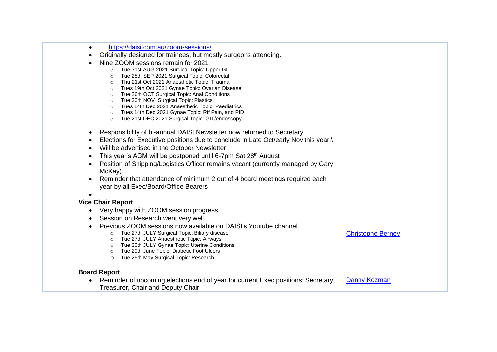| https://daisi.com.au/zoom-sessions/<br>$\bullet$<br>Originally designed for trainees, but mostly surgeons attending.<br>Nine ZOOM sessions remain for 2021<br>Tue 31st AUG 2021 Surgical Topic: Upper GI<br>$\circ$<br>Tue 28th SEP 2021 Surgical Topic: Colorectal<br>$\circ$<br>Thu 21st Oct 2021 Anaesthetic Topic: Trauma<br>$\circ$<br>Tues 19th Oct 2021 Gynae Topic: Ovarian Disease<br>$\circ$<br>Tue 26th OCT Surgical Topic: Anal Conditions<br>$\circ$<br>Tue 30th NOV Surgical Topic: Plastics<br>$\circ$<br>Tues 14th Dec 2021 Anaesthetic Topic: Paediatrics<br>$\circ$<br>Tues 14th Dec 2021 Gynae Topic: Rif Pain, and PID<br>$\circ$<br>Tue 21st DEC 2021 Surgical Topic: GIT/endoscopy<br>$\circ$<br>Responsibility of bi-annual DAISI Newsletter now returned to Secretary<br>$\bullet$<br>Elections for Executive positions due to conclude in Late Oct/early Nov this year.<br>Will be advertised in the October Newsletter<br>$\bullet$<br>This year's AGM will be postponed until 6-7pm Sat 28 <sup>th</sup> August<br>$\bullet$<br>Position of Shipping/Logistics Officer remains vacant (currently managed by Gary<br>$\bullet$<br>McKay).<br>Reminder that attendance of minimum 2 out of 4 board meetings required each<br>year by all Exec/Board/Office Bearers - |                          |
|-----------------------------------------------------------------------------------------------------------------------------------------------------------------------------------------------------------------------------------------------------------------------------------------------------------------------------------------------------------------------------------------------------------------------------------------------------------------------------------------------------------------------------------------------------------------------------------------------------------------------------------------------------------------------------------------------------------------------------------------------------------------------------------------------------------------------------------------------------------------------------------------------------------------------------------------------------------------------------------------------------------------------------------------------------------------------------------------------------------------------------------------------------------------------------------------------------------------------------------------------------------------------------------------------|--------------------------|
| <b>Vice Chair Report</b><br>Very happy with ZOOM session progress.<br>$\bullet$<br>Session on Research went very well.<br>Previous ZOOM sessions now available on DAISI's Youtube channel.<br>Tue 27th JULY Surgical Topic: Biliary disease<br>$\circ$<br>Tue 27th JULY Anaesthetic Topic: Airways<br>$\circ$<br>Tue 20th JULY Gynae Topic: Uterine Conditions<br>$\circ$<br>Tue 29th June Topic: Diabetic Foot Ulcers<br>$\circ$<br>Tue 25th May Surgical Topic: Research<br>$\circ$                                                                                                                                                                                                                                                                                                                                                                                                                                                                                                                                                                                                                                                                                                                                                                                                         | <b>Christophe Berney</b> |
| <b>Board Report</b><br>Reminder of upcoming elections end of year for current Exec positions: Secretary,<br>Treasurer, Chair and Deputy Chair,                                                                                                                                                                                                                                                                                                                                                                                                                                                                                                                                                                                                                                                                                                                                                                                                                                                                                                                                                                                                                                                                                                                                                | <b>Danny Kozman</b>      |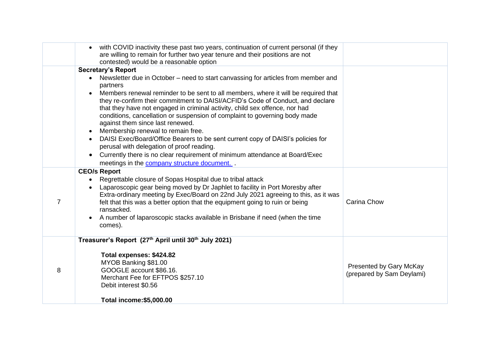|   | with COVID inactivity these past two years, continuation of current personal (if they<br>are willing to remain for further two year tenure and their positions are not<br>contested) would be a reasonable option                                                                                                                                                                                                                                                                                                                                                                                                                                                                                                                                                                                                                                          |                                                      |
|---|------------------------------------------------------------------------------------------------------------------------------------------------------------------------------------------------------------------------------------------------------------------------------------------------------------------------------------------------------------------------------------------------------------------------------------------------------------------------------------------------------------------------------------------------------------------------------------------------------------------------------------------------------------------------------------------------------------------------------------------------------------------------------------------------------------------------------------------------------------|------------------------------------------------------|
|   | <b>Secretary's Report</b><br>Newsletter due in October – need to start canvassing for articles from member and<br>$\bullet$<br>partners<br>Members renewal reminder to be sent to all members, where it will be required that<br>$\bullet$<br>they re-confirm their commitment to DAISI/ACFID's Code of Conduct, and declare<br>that they have not engaged in criminal activity, child sex offence, nor had<br>conditions, cancellation or suspension of complaint to governing body made<br>against them since last renewed.<br>Membership renewal to remain free.<br>$\bullet$<br>DAISI Exec/Board/Office Bearers to be sent current copy of DAISI's policies for<br>perusal with delegation of proof reading.<br>Currently there is no clear requirement of minimum attendance at Board/Exec<br>$\bullet$<br>meetings in the company structure document |                                                      |
| 7 | <b>CEO/s Report</b><br>Regrettable closure of Sopas Hospital due to tribal attack<br>Laparoscopic gear being moved by Dr Japhlet to facility in Port Moresby after<br>Extra-ordinary meeting by Exec/Board on 22nd July 2021 agreeing to this, as it was<br>felt that this was a better option that the equipment going to ruin or being<br>ransacked.<br>A number of laparoscopic stacks available in Brisbane if need (when the time<br>comes).                                                                                                                                                                                                                                                                                                                                                                                                          | Carina Chow                                          |
| 8 | Treasurer's Report (27th April until 30th July 2021)<br>Total expenses: \$424.82<br>MYOB Banking \$81.00<br>GOOGLE account \$86.16.<br>Merchant Fee for EFTPOS \$257.10<br>Debit interest \$0.56                                                                                                                                                                                                                                                                                                                                                                                                                                                                                                                                                                                                                                                           | Presented by Gary McKay<br>(prepared by Sam Deylami) |
|   | Total income: \$5,000.00                                                                                                                                                                                                                                                                                                                                                                                                                                                                                                                                                                                                                                                                                                                                                                                                                                   |                                                      |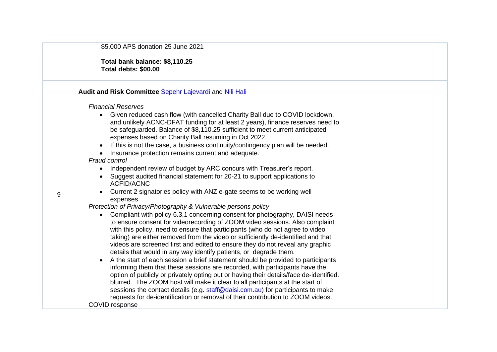|   | \$5,000 APS donation 25 June 2021                                                                                                                                                                                                                                                                                                                                                                                                                                                                                                                                                                                                                                                                                                                                                                                                                                                                                                                                                                                                                                                                                                                                                                                                                                                                                                                                                                                                                                                                                                                                                                                                                                                                                                                                                                                                                                                                  |  |
|---|----------------------------------------------------------------------------------------------------------------------------------------------------------------------------------------------------------------------------------------------------------------------------------------------------------------------------------------------------------------------------------------------------------------------------------------------------------------------------------------------------------------------------------------------------------------------------------------------------------------------------------------------------------------------------------------------------------------------------------------------------------------------------------------------------------------------------------------------------------------------------------------------------------------------------------------------------------------------------------------------------------------------------------------------------------------------------------------------------------------------------------------------------------------------------------------------------------------------------------------------------------------------------------------------------------------------------------------------------------------------------------------------------------------------------------------------------------------------------------------------------------------------------------------------------------------------------------------------------------------------------------------------------------------------------------------------------------------------------------------------------------------------------------------------------------------------------------------------------------------------------------------------------|--|
|   | Total bank balance: \$8,110.25<br>Total debts: \$00.00                                                                                                                                                                                                                                                                                                                                                                                                                                                                                                                                                                                                                                                                                                                                                                                                                                                                                                                                                                                                                                                                                                                                                                                                                                                                                                                                                                                                                                                                                                                                                                                                                                                                                                                                                                                                                                             |  |
|   | Audit and Risk Committee Sepehr Lajevardi and Nili Hali                                                                                                                                                                                                                                                                                                                                                                                                                                                                                                                                                                                                                                                                                                                                                                                                                                                                                                                                                                                                                                                                                                                                                                                                                                                                                                                                                                                                                                                                                                                                                                                                                                                                                                                                                                                                                                            |  |
| 9 | <b>Financial Reserves</b><br>Given reduced cash flow (with cancelled Charity Ball due to COVID lockdown,<br>$\bullet$<br>and unlikely ACNC-DFAT funding for at least 2 years), finance reserves need to<br>be safeguarded. Balance of \$8,110.25 sufficient to meet current anticipated<br>expenses based on Charity Ball resuming in Oct 2022.<br>If this is not the case, a business continuity/contingency plan will be needed.<br>Insurance protection remains current and adequate.<br>Fraud control<br>Independent review of budget by ARC concurs with Treasurer's report.<br>$\bullet$<br>Suggest audited financial statement for 20-21 to support applications to<br><b>ACFID/ACNC</b><br>Current 2 signatories policy with ANZ e-gate seems to be working well<br>expenses.<br>Protection of Privacy/Photography & Vulnerable persons policy<br>Compliant with policy 6.3,1 concerning consent for photography, DAISI needs<br>$\bullet$<br>to ensure consent for videorecording of ZOOM video sessions. Also complaint<br>with this policy, need to ensure that participants (who do not agree to video<br>taking) are either removed from the video or sufficiently de-identified and that<br>videos are screened first and edited to ensure they do not reveal any graphic<br>details that would in any way identify patients, or degrade them.<br>A the start of each session a brief statement should be provided to participants<br>informing them that these sessions are recorded, with participants have the<br>option of publicly or privately opting out or having their details/face de-identified.<br>blurred. The ZOOM host will make it clear to all participants at the start of<br>sessions the contact details (e.g. staff@daisi.com.au) for participants to make<br>requests for de-identification or removal of their contribution to ZOOM videos.<br>COVID response |  |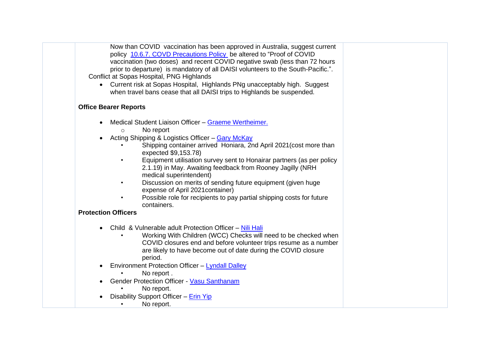| Now than COVID vaccination has been approved in Australia, suggest current<br>policy 10.6.7. COVD Precautions Policy be altered to "Proof of COVID<br>vaccination (two doses) and recent COVID negative swab (less than 72 hours<br>prior to departure) is mandatory of all DAISI volunteers to the South-Pacific.".<br>Conflict at Sopas Hospital, PNG Highlands<br>Current risk at Sopas Hospital, Highlands PNg unacceptably high. Suggest<br>when travel bans cease that all DAISI trips to Highlands be suspended.                                                                                                    |  |
|----------------------------------------------------------------------------------------------------------------------------------------------------------------------------------------------------------------------------------------------------------------------------------------------------------------------------------------------------------------------------------------------------------------------------------------------------------------------------------------------------------------------------------------------------------------------------------------------------------------------------|--|
| <b>Office Bearer Reports</b>                                                                                                                                                                                                                                                                                                                                                                                                                                                                                                                                                                                               |  |
| Medical Student Liaison Officer - Graeme Wertheimer.<br>No report<br>$\circ$<br>Acting Shipping & Logistics Officer - Gary McKay<br>Shipping container arrived Honiara, 2nd April 2021 (cost more than<br>expected \$9,153.78)<br>Equipment utilisation survey sent to Honairar partners (as per policy<br>2.1.19) in May. Awaiting feedback from Rooney Jagilly (NRH<br>medical superintendent)<br>Discussion on merits of sending future equipment (given huge<br>expense of April 2021 container)<br>Possible role for recipients to pay partial shipping costs for future<br>containers.<br><b>Protection Officers</b> |  |
| Child & Vulnerable adult Protection Officer - Nili Hali<br>Working With Children (WCC) Checks will need to be checked when<br>COVID closures end and before volunteer trips resume as a number<br>are likely to have become out of date during the COVID closure<br>period.<br>Environment Protection Officer - Lyndall Dalley<br>No report.<br><b>Gender Protection Officer - Vasu Santhanam</b><br>No report.<br>Disability Support Officer - Erin Yip<br>No report.                                                                                                                                                     |  |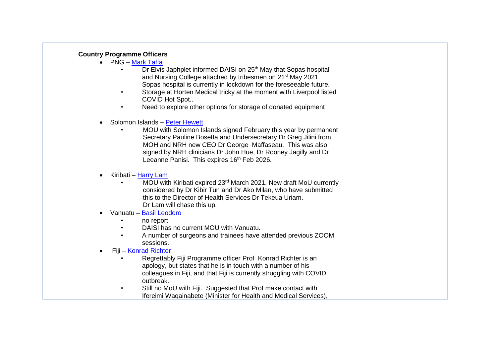## **Country Programme Officers**

- PNG [Mark Taffa](https://daisi.com.au/mark-taffa/)
	- Dr Elvis Japhplet informed DAISI on 25<sup>th</sup> May that Sopas hospital and Nursing College attached by tribesmen on 21st May 2021. Sopas hospital is currently in lockdown for the foreseeable future.
	- Storage at Horten Medical tricky at the moment with Liverpool listed COVID Hot Spot..
	- Need to explore other options for storage of donated equipment
- Solomon Islands [Peter Hewett](https://daisi.com.au/dr-peter-hewett/)
	- MOU with Solomon Islands signed February this year by permanent Secretary Pauline Bosetta and Undersecretary Dr Greg Jilini from MOH and NRH new CEO Dr George Maffaseau. This was also signed by NRH clinicians Dr John Hue, Dr Rooney Jagilly and Dr Leeanne Panisi. This expires 16<sup>th</sup> Feb 2026.
- Kiribati [Harry Lam](https://daisi.com.au/dr-peter-hewett/)
	- MOU with Kiribati expired 23rd March 2021. New draft MoU currently considered by Dr Kibir Tun and Dr Ako Milan, who have submitted this to the Director of Health Services Dr Tekeua Uriam. Dr Lam will chase this up.
- Vanuatu [Basil Leodoro](https://daisi.com.au/dr-basil-leodoro-2/)
	- no report.
	- DAISI has no current MOU with Vanuatu.
	- A number of surgeons and trainees have attended previous ZOOM sessions.
- Fiji [Konrad Richter](https://daisi.com.au/aprof-konrad-richter/)
	- Regrettably Fiji Programme officer Prof Konrad Richter is an apology, but states that he is in touch with a number of his colleagues in Fiji, and that Fiji is currently struggling with COVID outbreak.
	- Still no MoU with Fiji. Suggested that Prof make contact with Ifereimi Waqainabete (Minister for Health and Medical Services),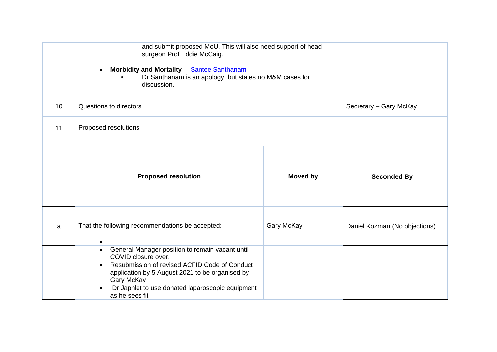|                 | and submit proposed MoU. This will also need support of head<br>surgeon Prof Eddie McCaig.<br>Morbidity and Mortality - Santee Santhanam<br>$\bullet$<br>Dr Santhanam is an apology, but states no M&M cases for<br>discussion.                                                          |            |                               |
|-----------------|------------------------------------------------------------------------------------------------------------------------------------------------------------------------------------------------------------------------------------------------------------------------------------------|------------|-------------------------------|
| 10 <sup>°</sup> | Questions to directors                                                                                                                                                                                                                                                                   |            |                               |
| 11              | Proposed resolutions                                                                                                                                                                                                                                                                     |            |                               |
|                 | <b>Moved by</b><br><b>Proposed resolution</b>                                                                                                                                                                                                                                            |            | <b>Seconded By</b>            |
| a               | That the following recommendations be accepted:<br>$\bullet$                                                                                                                                                                                                                             | Gary McKay | Daniel Kozman (No objections) |
|                 | General Manager position to remain vacant until<br>$\bullet$<br>COVID closure over.<br>Resubmission of revised ACFID Code of Conduct<br>$\bullet$<br>application by 5 August 2021 to be organised by<br>Gary McKay<br>Dr Japhlet to use donated laparoscopic equipment<br>as he sees fit |            |                               |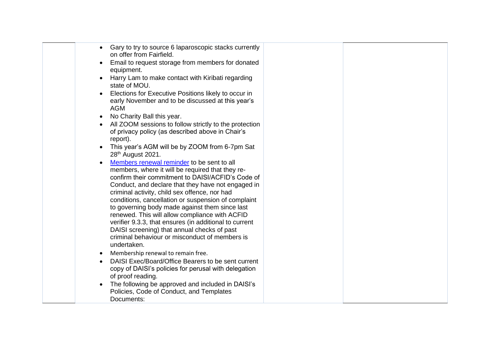| Gary to try to source 6 laparoscopic stacks currently<br>$\bullet$<br>on offer from Fairfield.                                                                                                                                                                                                                                                                                                                                                                                                                                                                                                                                                                  |  |
|-----------------------------------------------------------------------------------------------------------------------------------------------------------------------------------------------------------------------------------------------------------------------------------------------------------------------------------------------------------------------------------------------------------------------------------------------------------------------------------------------------------------------------------------------------------------------------------------------------------------------------------------------------------------|--|
| Email to request storage from members for donated<br>$\bullet$<br>equipment.                                                                                                                                                                                                                                                                                                                                                                                                                                                                                                                                                                                    |  |
| Harry Lam to make contact with Kiribati regarding<br>$\bullet$<br>state of MOU.                                                                                                                                                                                                                                                                                                                                                                                                                                                                                                                                                                                 |  |
| Elections for Executive Positions likely to occur in<br>$\bullet$<br>early November and to be discussed at this year's<br><b>AGM</b>                                                                                                                                                                                                                                                                                                                                                                                                                                                                                                                            |  |
| No Charity Ball this year.<br>$\bullet$                                                                                                                                                                                                                                                                                                                                                                                                                                                                                                                                                                                                                         |  |
| All ZOOM sessions to follow strictly to the protection<br>$\bullet$<br>of privacy policy (as described above in Chair's<br>report).                                                                                                                                                                                                                                                                                                                                                                                                                                                                                                                             |  |
| This year's AGM will be by ZOOM from 6-7pm Sat<br>$\bullet$<br>28 <sup>th</sup> August 2021.                                                                                                                                                                                                                                                                                                                                                                                                                                                                                                                                                                    |  |
| Members renewal reminder to be sent to all<br>$\bullet$<br>members, where it will be required that they re-<br>confirm their commitment to DAISI/ACFID's Code of<br>Conduct, and declare that they have not engaged in<br>criminal activity, child sex offence, nor had<br>conditions, cancellation or suspension of complaint<br>to governing body made against them since last<br>renewed. This will allow compliance with ACFID<br>verifier 9.3.3, that ensures (in additional to current<br>DAISI screening) that annual checks of past<br>criminal behaviour or misconduct of members is<br>undertaken.<br>Membership renewal to remain free.<br>$\bullet$ |  |
| DAISI Exec/Board/Office Bearers to be sent current<br>$\bullet$<br>copy of DAISI's policies for perusal with delegation<br>of proof reading.                                                                                                                                                                                                                                                                                                                                                                                                                                                                                                                    |  |
| The following be approved and included in DAISI's<br>$\bullet$<br>Policies, Code of Conduct, and Templates<br>Documents:                                                                                                                                                                                                                                                                                                                                                                                                                                                                                                                                        |  |